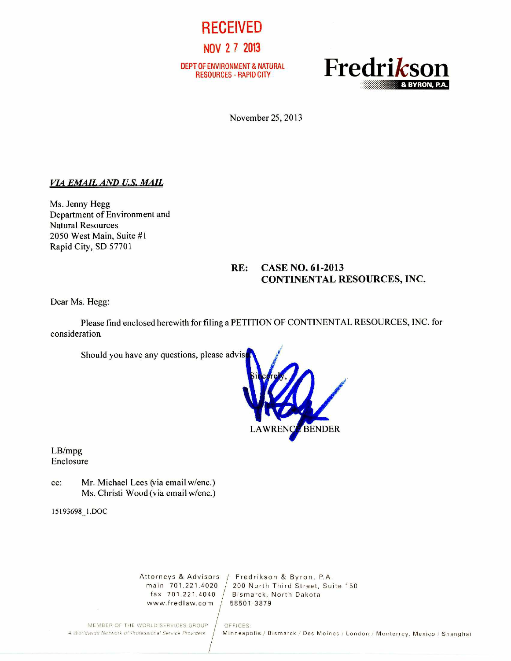

DEPT OF ENVIRONMENT & NATURAL



November 25, 2013

## *VIA EMAIL AND U.S. MAIL*

Ms. Jenny Hegg Department of Environment and Natural Resources 2050 West Main, Suite #1 Rapid City, SD 57701

# **RE: CASE NO. 61-2013 CONTINENTAL RESOURCES, INC.**

Dear Ms. Hegg:

Please find enclosed herewith for filing a PETITION OF CONTINENTAL RESOURCES, INC. for consideration.

Should you have any questions, please advis



LB/mpg Enclosure

cc: Mr. Michael Lees (via email w/enc.) Ms. Christi Wood (via email w/enc.)

15193698\_1.DOC

www.fredlaw.com

Attorneys & Advisors | Fredrikson & Byron, P.A.<br>main 701.221.4020 | 200 North Third Street. Sui main 701.221.4020  $/$  200 North Third Street, Suite 150 fax 701.221.4040  $/$  Bismarck, North Dakota Bismarck, North Dakota<br>58501-3879

MEMBER OF THE WORLD SERVICES GROUP | OFFICES:<br>A Worldwide Network of Professional Service Providers | Minneapo

Minneapolis / Bismarck / Des Moines / London / Monterrey, Mexico / Shanghai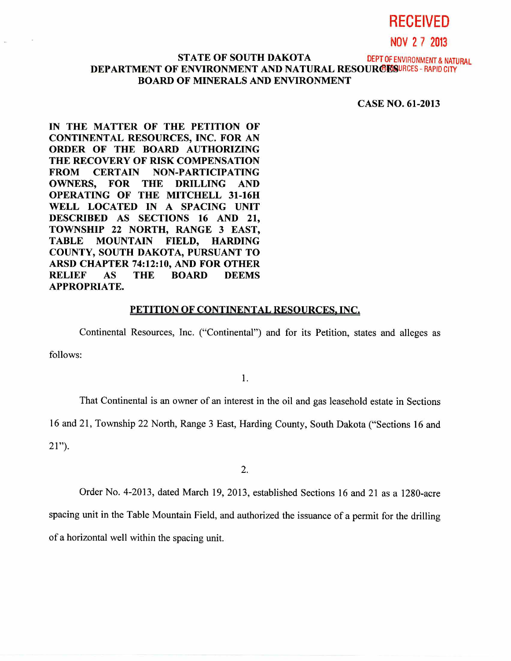# **RECEIVED**

**NOV 2 7 2013** 

## **STATE OF SOUTH DAKOTA DEPT OF ENVIRONMENT & NATURAL DEPARTMENT OF ENVIRONMENT AND NATURAL RESOURCES - RAPID CITY BOARD OF MINERALS AND ENVIRONMENT**

**CASE NO. 61-2013** 

**IN THE MATTER OF THE PETITION OF CONTINENTAL RESOURCES, INC. FOR AN ORDER OF THE BOARD AUTHORIZING THE RECOVERY OF RISK COMPENSATION FROM CERTAIN NON-PARTICIPATING OWNERS, FOR THE DRILLING AND OPERATING OF THE MITCHELL 31-16H WELL LOCATED IN A SPACING UNIT DESCRIBED AS SECTIONS 16 AND 21, TOWNSHIP 22 NORTH, RANGE 3 EAST, TABLE MOUNTAIN FIELD, HARDING COUNTY, SOUTH DAKOTA, PURSUANT TO ARSD CHAPTER 74:12:10, AND FOR OTHER RELIEF AS THE BOARD DEEMS APPROPRIATE.** 

## **PETITION OF CONTINENTAL RESOURCES, INC.**

Continental Resources, Inc. ("Continental") and for its Petition, states and alleges as

follows:

1.

That Continental is an owner of an interest in the oil and gas leasehold estate in Sections

16 and 21, Township 22 North, Range 3 East, Harding County, South Dakota ("Sections 16 and

21").

2.

Order No. 4-2013, dated March 19, 2013, established Sections 16 and 21 as a 1280-acre

spacing unit in the Table Mountain Field, and authorized the issuance of a permit for the drilling of a horizontal well within the spacing unit.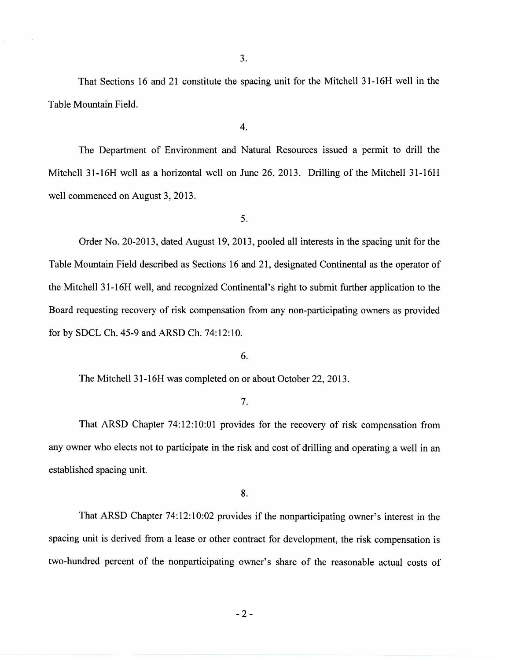That Sections 16 and 21 constitute the spacing unit for the Mitchell 31-16H well in the Table Mountain Field.

4.

The Department of Environment and Natural Resources issued a permit to drill the Mitchell 31-16H well as a horizontal well on June 26, 2013. Drilling of the Mitchell 31-16H well commenced on August 3, 2013.

5.

Order No. 20-2013, dated August 19, 2013, pooled all interests in the spacing unit for the Table Mountain Field described as Sections 16 and 21, designated Continental as the operator of the Mitchell 31-16H well, and recognized Continental's right to submit further application to the Board requesting recovery of risk compensation from any non-participating owners as provided for by SDCL Ch. 45-9 and ARSD Ch. 74:12:10.

6.

The Mitchell 31-16H was completed on or about October 22, 2013.

7.

That ARSD Chapter 74:12:10:01 provides for the recovery of risk compensation from any owner who elects not to participate in the risk and cost of drilling and operating a well in an established spacing unit.

8.

That ARSD Chapter 74:12:10:02 provides if the nonparticipating owner's interest in the spacing unit is derived from a lease or other contract for development, the risk compensation is two-hundred percent of the nonparticipating owner's share of the reasonable actual costs of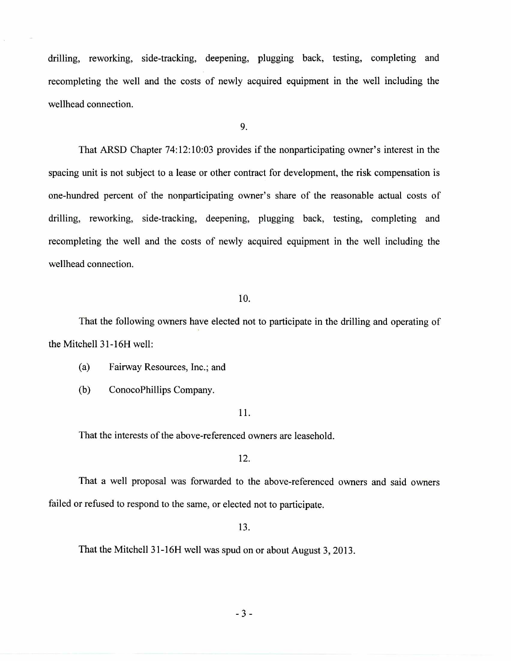drilling, reworking, side-tracking, deepening, plugging back, testing, completing and recompleting the well and the costs of newly acquired equipment in the well including the wellhead connection.

9.

That ARSD Chapter 74:12:10:03 provides if the nonparticipating owner's interest in the spacing unit is not subject to a lease or other contract for development, the risk compensation is one-hundred percent of the nonparticipating owner's share of the reasonable actual costs of drilling, reworking, side-tracking, deepening, plugging back, testing, completing and recompleting the well and the costs of newly acquired equipment in the well including the wellhead connection.

#### 10.

That the following owners have elected not to participate in the drilling and operating of the Mitchell 31-16H well:

(a) Fairway Resources, Inc.; and

(b) ConocoPhillips Company.

#### 11.

That the interests of the above-referenced owners are leasehold.

12.

That a well proposal was forwarded to the above-referenced owners and said owners failed or refused to respond to the same, or elected not to participate.

13.

That the Mitchell 31-16H well was spud on or about August 3, 2013.